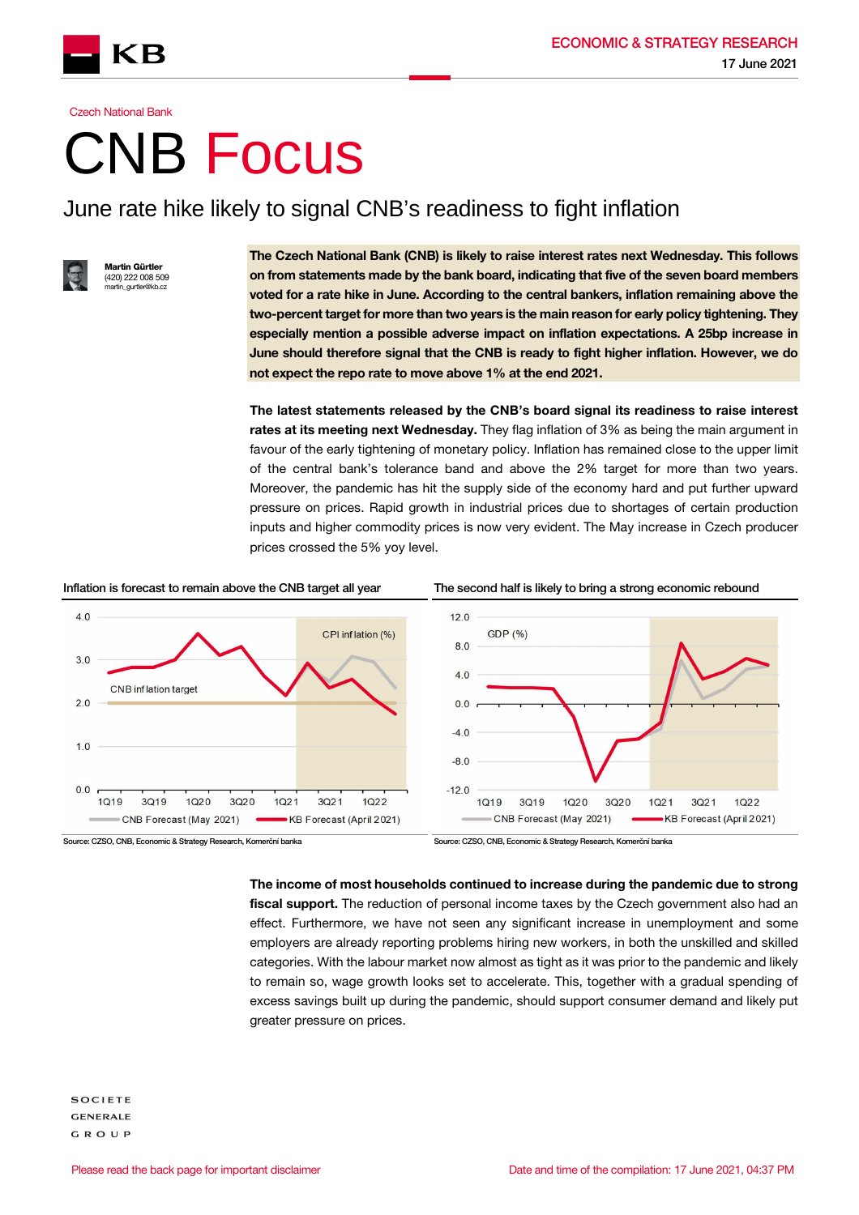



### **Czech National Bank**

# CNB Focus

## June rate hike likely to signal CNB's readiness to fight inflation



ırtin Gürtler (420) 222 008 509 ou u \_\_\_<br>~ artin\_gurtler@kh

The Czech National Bank (CNB) is likely to raise interest rates next Wednesday. This follows on from statements made by the bank board, indicating that five of the seven board members voted for a rate hike in June. According to the central bankers, inflation remaining above the two-percent target for more than two years is the main reason for early policy tightening. They especially mention a possible adverse impact on inflation expectations. A 25bp increase in June should therefore signal that the CNB is ready to fight higher inflation. However, we do not expect the repo rate to move above 1% at the end 2021.

The latest statements released by the CNB's board signal its readiness to raise interest rates at its meeting next Wednesday. They flag inflation of 3% as being the main argument in favour of the early tightening of monetary policy. Inflation has remained close to the upper limit of the central bank's tolerance band and above the 2% target for more than two years. Moreover, the pandemic has hit the supply side of the economy hard and put further upward pressure on prices. Rapid growth in industrial prices due to shortages of certain production inputs and higher commodity prices is now very evident. The May increase in Czech producer prices crossed the 5% yoy level.

### Inflation is forecast to remain above the CNB target all year The second half is likely to bring a strong economic rebound



Source: CZSO, CNB, Economic & Strategy Research, Komerční banka Source: CZSO, CNB, Economic & Strategy Research, Komerční banka

The income of most households continued to increase during the pandemic due to strong fiscal support. The reduction of personal income taxes by the Czech government also had an effect. Furthermore, we have not seen any significant increase in unemployment and some employers are already reporting problems hiring new workers, in both the unskilled and skilled categories. With the labour market now almost as tight as it was prior to the pandemic and likely to remain so, wage growth looks set to accelerate. This, together with a gradual spending of excess savings built up during the pandemic, should support consumer demand and likely put greater pressure on prices.

**SOCIETE GENERALE GROUP**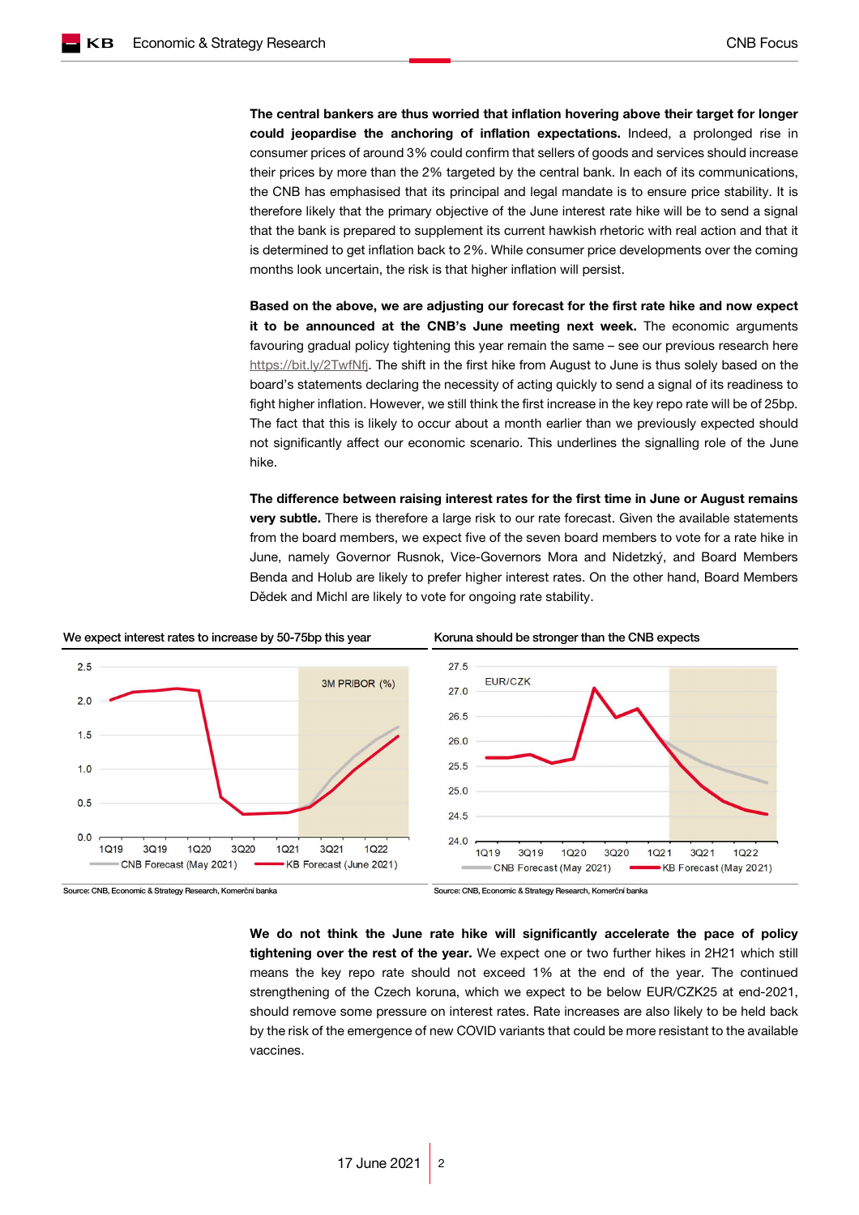The central bankers are thus worried that inflation hovering above their target for longer could jeopardise the anchoring of inflation expectations. Indeed, a prolonged rise in consumer prices of around 3% could confirm that sellers of goods and services should increase their prices by more than the 2% targeted by the central bank. In each of its communications, the CNB has emphasised that its principal and legal mandate is to ensure price stability. It is therefore likely that the primary objective of the June interest rate hike will be to send a signal that the bank is prepared to supplement its current hawkish rhetoric with real action and that it is determined to get inflation back to 2%. While consumer price developments over the coming months look uncertain, the risk is that higher inflation will persist.

Based on the above, we are adjusting our forecast for the first rate hike and now expect it to be announced at the CNB's June meeting next week. The economic arguments favouring gradual policy tightening this year remain the same – see our previous research here https://bit.ly/2TwfNfj. The shift in the first hike from August to June is thus solely based on the board's statements declaring the necessity of acting quickly to send a signal of its readiness to fight higher inflation. However, we still think the first increase in the key repo rate will be of 25bp. The fact that this is likely to occur about a month earlier than we previously expected should not significantly affect our economic scenario. This underlines the signalling role of the June hike.

The difference between raising interest rates for the first time in June or August remains very subtle. There is therefore a large risk to our rate forecast. Given the available statements from the board members, we expect five of the seven board members to vote for a rate hike in June, namely Governor Rusnok, Vice-Governors Mora and Nidetzký, and Board Members Benda and Holub are likely to prefer higher interest rates. On the other hand, Board Members Dědek and Michl are likely to vote for ongoing rate stability.



Source: CNB, Economic & Strategy Research, Komerční banka Source: CNB, Economic & Strategy Research, Komerční banka

We do not think the June rate hike will significantly accelerate the pace of policy tightening over the rest of the year. We expect one or two further hikes in 2H21 which still means the key repo rate should not exceed 1% at the end of the year. The continued strengthening of the Czech koruna, which we expect to be below EUR/CZK25 at end-2021, should remove some pressure on interest rates. Rate increases are also likely to be held back by the risk of the emergence of new COVID variants that could be more resistant to the available vaccines.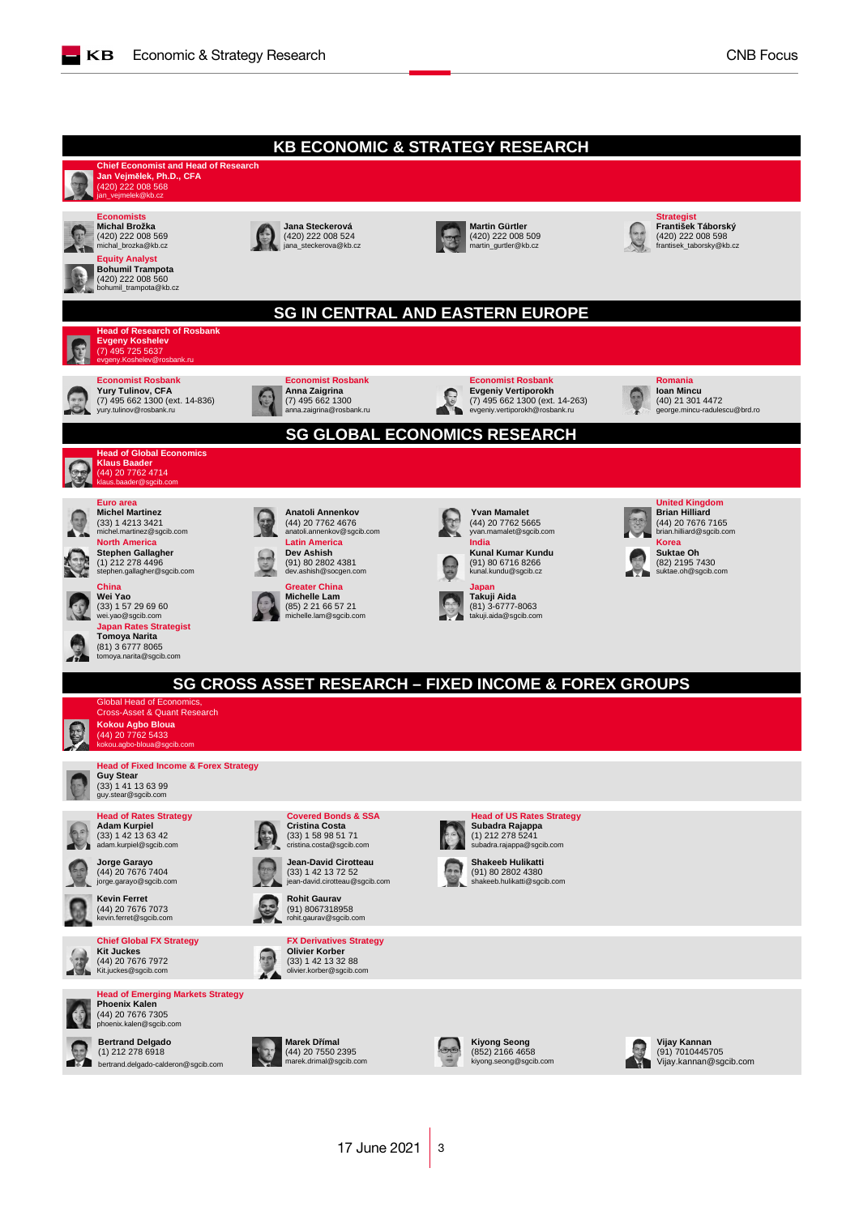